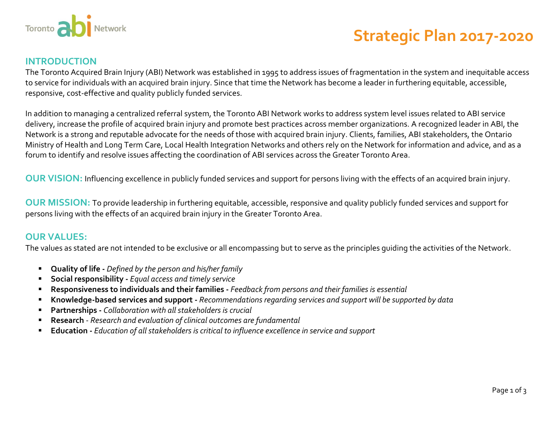

# **Strategic Plan 2017-2020**

#### **INTRODUCTION**

The Toronto Acquired Brain Injury (ABI) Network was established in 1995 to address issues of fragmentation in the system and inequitable access to service for individuals with an acquired brain injury. Since that time the Network has become a leader in furthering equitable, accessible, responsive, cost-effective and quality publicly funded services.

In addition to managing a centralized referral system, the Toronto ABI Network works to address system level issues related to ABI service delivery, increase the profile of acquired brain injury and promote best practices across member organizations. A recognized leader in ABI, the Network is a strong and reputable advocate for the needs of those with acquired brain injury. Clients, families, ABI stakeholders, the Ontario Ministry of Health and Long Term Care, Local Health Integration Networks and others rely on the Network for information and advice, and as a forum to identify and resolve issues affecting the coordination of ABI services across the Greater Toronto Area.

**OUR VISION:** Influencing excellence in publicly funded services and support for persons living with the effects of an acquired brain injury.

**OUR MISSION:** To provide leadership in furthering equitable, accessible, responsive and quality publicly funded services and support for persons living with the effects of an acquired brain injury in the Greater Toronto Area.

## **OUR VALUES:**

The values as stated are not intended to be exclusive or all encompassing but to serve as the principles guiding the activities of the Network.

- **Quality of life -** *Defined by the person and his/her family*
- **Social responsibility -** *Equal access and timely service*
- **Responsiveness to individuals and their families -** *Feedback from persons and their families is essential*
- **Knowledge-based services and support -** *Recommendations regarding services and support will be supported by data*
- **Partnerships -** *Collaboration with all stakeholders is crucial*
- **Research** *Research and evaluation of clinical outcomes are fundamental*
- **Education -** *Education of all stakeholders is critical to influence excellence in service and support*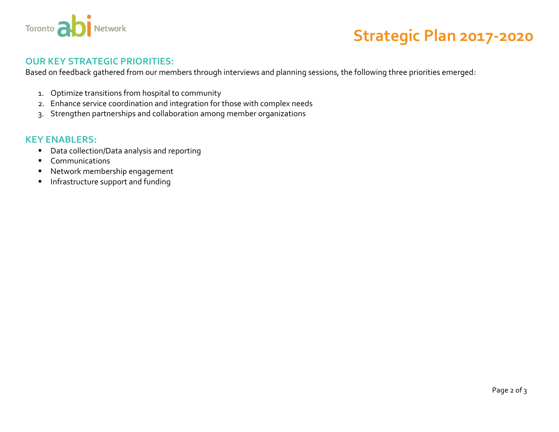

# **Strategic Plan 2017-2020**

## **OUR KEY STRATEGIC PRIORITIES:**

Based on feedback gathered from our members through interviews and planning sessions, the following three priorities emerged:

- 1. Optimize transitions from hospital to community
- 2. Enhance service coordination and integration for those with complex needs
- 3. Strengthen partnerships and collaboration among member organizations

#### **KEY ENABLERS:**

- Data collection/Data analysis and reporting
- **Communications**
- Network membership engagement
- **Infrastructure support and funding**